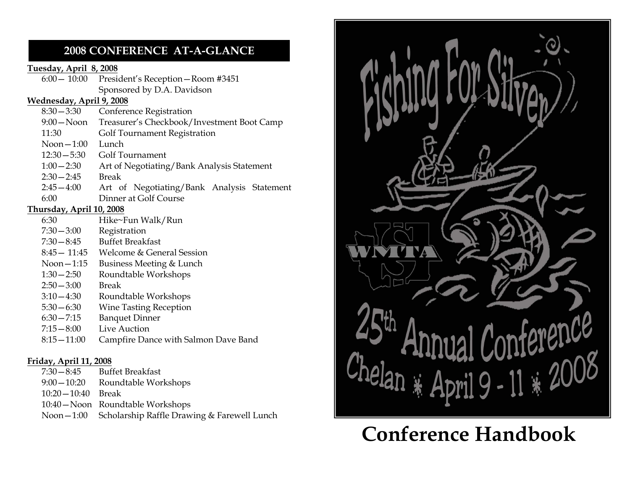### 2008 CONFERENCE AT-A-GLANCE

#### Tuesday, April 8, 2008

 6:00— 10:00 President's Reception—Room #3451 Sponsored by D.A. Davidson

#### Wednesday, April 9, 2008

| $8:30 - 3:30$            | Conference Registration                    |
|--------------------------|--------------------------------------------|
| $9:00 - N$ oon           | Treasurer's Checkbook/Investment Boot Camp |
| 11:30                    | Golf Tournament Registration               |
| $N$ oon $-1:00$          | Lunch                                      |
| $12:30 - 5:30$           | Golf Tournament                            |
| $1:00 - 2:30$            | Art of Negotiating/Bank Analysis Statement |
| $2:30 - 2:45$            | Break                                      |
| $2:45 - 4:00$            | Art of Negotiating/Bank Analysis Statement |
| 6:00                     | Dinner at Golf Course                      |
| Thursday, April 10, 2008 |                                            |
| $\sim$ 0.0               | $T T1$ $T1$<br><b>TAT 11 / m</b>           |

#### Thursday, April 10, 2008

- 6:30 Hike~Fun Walk/Run
- 7:30—3:00 Registration 7:30—8:45 Buffet Breakfast
- 
- 8:45— 11:45 Welcome & General Session
- Noon—1:15 Business Meeting & Lunch
	- 1:30—2:50 Roundtable Workshops
	- 2:50—3:00 Break
- 3:10—4:30 Roundtable Workshops
	- 5:30—6:30 Wine Tasting Reception
	- Banquet Dinner
	- 7:15—8:00 Live Auction
	- 8:15—11:00 Campfire Dance with Salmon Dave Band

### Friday, April 11, 2008

| $7:30-8:45$         | <b>Buffet Breakfast</b>                                 |
|---------------------|---------------------------------------------------------|
| $9:00-10:20$        | Roundtable Workshops                                    |
| $10:20-10:40$ Break |                                                         |
|                     | 10:40 - Noon Roundtable Workshops                       |
|                     | Noon - 1:00 Scholarship Raffle Drawing & Farewell Lunch |



# Conference Handbook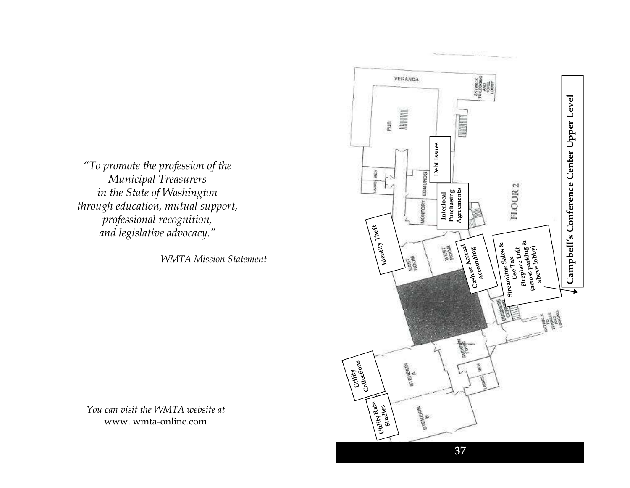"To promote the profession of the Municipal Treasurers in the State of Washington through education, mutual support, professional recognition, and legislative advocacy."

WMTA Mission Statement

You can visit the WMTA website at www. wmta-online.com

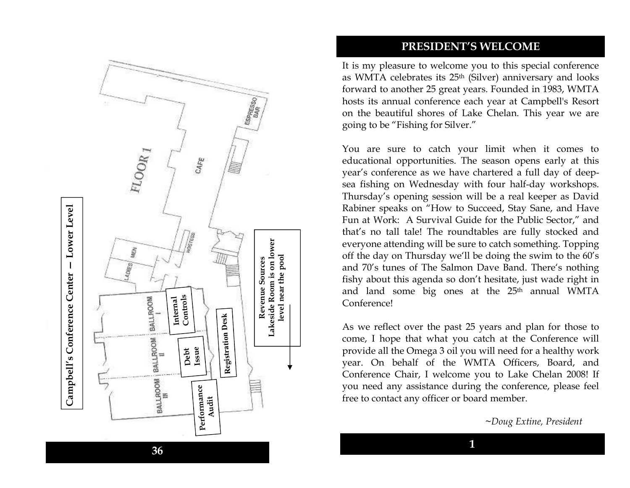

#### PRESIDENT'S WELCOME

It is my pleasure to welcome you to this special conference as WMTA celebrates its 25th (Silver) anniversary and looks forward to another 25 great years. Founded in 1983, WMTA hosts its annual conference each year at Campbell's Resort on the beautiful shores of Lake Chelan. This year we are going to be "Fishing for Silver."

You are sure to catch your limit when it comes to educational opportunities. The season opens early at this year's conference as we have chartered a full day of deepsea fishing on Wednesday with four half-day workshops. Thursday's opening session will be a real keeper as David Rabiner speaks on "How to Succeed, Stay Sane, and Have Fun at Work: A Survival Guide for the Public Sector," and that's no tall tale! The roundtables are fully stocked and everyone attending will be sure to catch something. Topping off the day on Thursday we'll be doing the swim to the 60's and 70's tunes of The Salmon Dave Band. There's nothing fishy about this agenda so don't hesitate, just wade right in and land some big ones at the 25<sup>th</sup> annual WMTA Conference!

As we reflect over the past 25 years and plan for those to come, I hope that what you catch at the Conference will provide all the Omega 3 oil you will need for a healthy work year. On behalf of the WMTA Officers, Board, and Conference Chair, I welcome you to Lake Chelan 2008! If you need any assistance during the conference, please feel free to contact any officer or board member.

<sup>~</sup>Doug Extine, President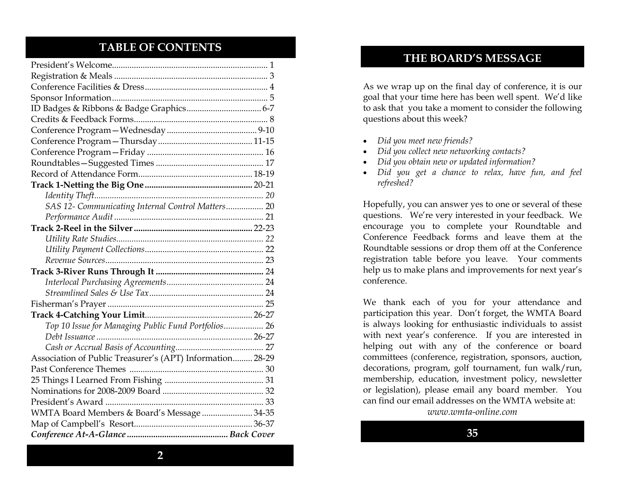### TABLE OF CONTENTS

| SAS 12- Communicating Internal Control Matters 20         |
|-----------------------------------------------------------|
|                                                           |
|                                                           |
|                                                           |
|                                                           |
|                                                           |
|                                                           |
|                                                           |
|                                                           |
|                                                           |
|                                                           |
| Top 10 Issue for Managing Public Fund Portfolios 26       |
|                                                           |
|                                                           |
| Association of Public Treasurer's (APT) Information 28-29 |
|                                                           |
|                                                           |
|                                                           |
|                                                           |
| WMTA Board Members & Board's Message  34-35               |
|                                                           |
|                                                           |

### THE BOARD'S MESSAGE

As we wrap up on the final day of conference, it is our goal that your time here has been well spent. We'd like to ask that you take a moment to consider the following questions about this week?

- Did you meet new friends?
- Did you collect new networking contacts?
- Did you obtain new or updated information?
- Did you get a chance to relax, have fun, and feel refreshed?

Hopefully, you can answer yes to one or several of these questions. We're very interested in your feedback. We encourage you to complete your Roundtable and Conference Feedback forms and leave them at the Roundtable sessions or drop them off at the Conference registration table before you leave. Your comments help us to make plans and improvements for next year's conference.

We thank each of you for your attendance and participation this year. Don't forget, the WMTA Board is always looking for enthusiastic individuals to assist with next year's conference. If you are interested in helping out with any of the conference or board committees (conference, registration, sponsors, auction, decorations, program, golf tournament, fun walk/run, membership, education, investment policy, newsletter or legislation), please email any board member. You can find our email addresses on the WMTA website at:

www.wmta-online.com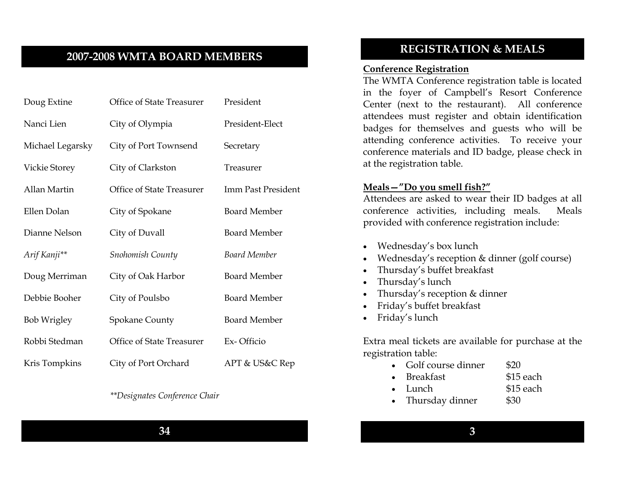### 2007-2008 WMTA BOARD MEMBERS

| Doug Extine        | Office of State Treasurer | President           |
|--------------------|---------------------------|---------------------|
| Nanci Lien         | City of Olympia           | President-Elect     |
| Michael Legarsky   | City of Port Townsend     | Secretary           |
| Vickie Storey      | City of Clarkston         | Treasurer           |
| Allan Martin       | Office of State Treasurer | Imm Past President  |
| Ellen Dolan        | City of Spokane           | <b>Board Member</b> |
| Dianne Nelson      | City of Duvall            | <b>Board Member</b> |
| Arif Kanji**       | Snohomish County          | Board Member        |
| Doug Merriman      | City of Oak Harbor        | <b>Board Member</b> |
| Debbie Booher      | City of Poulsbo           | <b>Board Member</b> |
| <b>Bob Wrigley</b> | <b>Spokane County</b>     | <b>Board Member</b> |
| Robbi Stedman      | Office of State Treasurer | Ex-Officio          |
| Kris Tompkins      | City of Port Orchard      | APT & US&C Rep      |

#### \*\*Designates Conference Chair

### REGISTRATION & MEALS

#### Conference Registration

 The WMTA Conference registration table is located in the foyer of Campbell's Resort Conference Center (next to the restaurant). All conference attendees must register and obtain identification badges for themselves and guests who will be attending conference activities. To receive your conference materials and ID badge, please check in at the registration table.

#### Meals—"Do you smell fish?"

 Attendees are asked to wear their ID badges at all conference activities, including meals. Meals provided with conference registration include:

- Wednesday's box lunch
- Wednesday's reception & dinner (golf course)
- Thursday's buffet breakfast
- Thursday's lunch
- Thursday's reception & dinner
- Friday's buffet breakfast
- Friday's lunch

Extra meal tickets are available for purchase at the registration table:

- Golf course dinner \$20
	- Breakfast \$15 each
- Lunch \$15 each
- Thursday dinner \$30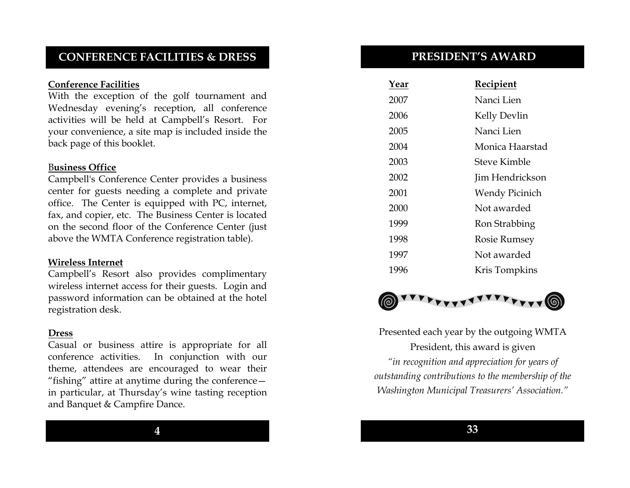### CONFERENCE FACILITIES & DRESS

#### Conference Facilities

 With the exception of the golf tournament and Wednesday evening's reception, all conference activities will be held at Campbell's Resort. For your convenience, a site map is included inside theback page of this booklet.

#### Business Office

 Campbell's Conference Center provides a business center for guests needing a complete and private office. The Center is equipped with PC, internet, fax, and copier, etc. The Business Center is located on the second floor of the Conference Center (just above the WMTA Conference registration table).

#### Wireless Internet

 Campbell's Resort also provides complimentary wireless internet access for their guests. Login and password information can be obtained at the hotel registration desk.

#### Dress

 Casual or business attire is appropriate for all conference activities. In conjunction with our theme, attendees are encouraged to wear their "fishing" attire at anytime during the conference in particular, at Thursday's wine tasting receptionand Banquet & Campfire Dance.

#### PRESIDENT'S AWARD

| Year | Recipient           |
|------|---------------------|
| 2007 | Nanci Lien          |
| 2006 | Kelly Devlin        |
| 2005 | Nanci Lien          |
| 2004 | Monica Haarstad     |
| 2003 | Steve Kimble        |
| 2002 | Jim Hendrickson     |
| 2001 | Wendy Picinich      |
| 2000 | Not awarded         |
| 1999 | Ron Strabbing       |
| 1998 | <b>Rosie Rumsey</b> |
| 1997 | Not awarded         |
| 1996 | Kris Tompkins       |



Presented each year by the outgoing WMTA President, this award is given "in recognition and appreciation for years of outstanding contributions to the membership of the Washington Municipal Treasurers' Association."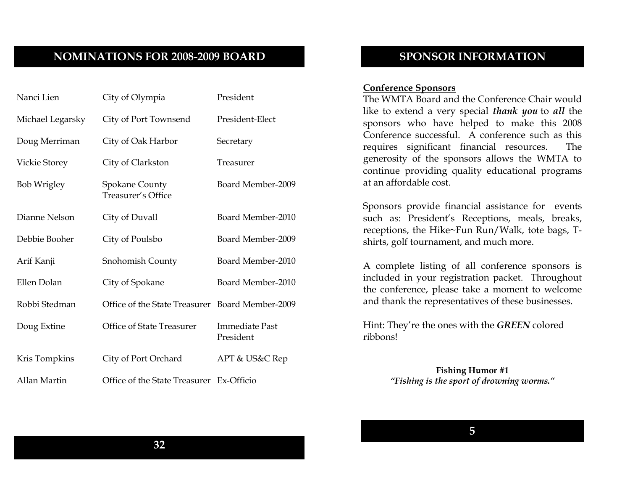### NOMINATIONS FOR 2008-2009 BOARD

| Nanci Lien           | City of Olympia                                 | President                          |
|----------------------|-------------------------------------------------|------------------------------------|
| Michael Legarsky     | City of Port Townsend                           | President-Elect                    |
| Doug Merriman        | City of Oak Harbor                              | Secretary                          |
| <b>Vickie Storey</b> | City of Clarkston                               | Treasurer                          |
| <b>Bob Wrigley</b>   | <b>Spokane County</b><br>Treasurer's Office     | Board Member-2009                  |
| Dianne Nelson        | City of Duvall                                  | Board Member-2010                  |
| Debbie Booher        | City of Poulsbo                                 | Board Member-2009                  |
| Arif Kanji           | Snohomish County                                | Board Member-2010                  |
| Ellen Dolan          | City of Spokane                                 | Board Member-2010                  |
| Robbi Stedman        | Office of the State Treasurer Board Member-2009 |                                    |
| Doug Extine          | Office of State Treasurer                       | <b>Immediate Past</b><br>President |
| Kris Tompkins        | City of Port Orchard                            | APT & US&C Rep                     |
| Allan Martin         | Office of the State Treasurer Ex-Officio        |                                    |

### SPONSOR INFORMATION

#### Conference Sponsors

 The WMTA Board and the Conference Chair would like to extend a very special thank you to all the sponsors who have helped to make this 2008 Conference successful. A conference such as this requires significant financial resources. The generosity of the sponsors allows the WMTA to continue providing quality educational programs at an affordable cost.

Sponsors provide financial assistance for events such as: President's Receptions, meals, breaks, receptions, the Hike~Fun Run/Walk, tote bags, Tshirts, golf tournament, and much more.

A complete listing of all conference sponsors is included in your registration packet. Throughout the conference, please take a moment to welcome and thank the representatives of these businesses.

Hint: They're the ones with the GREEN colored ribbons!

> Fishing Humor #1 "Fishing is the sport of drowning worms."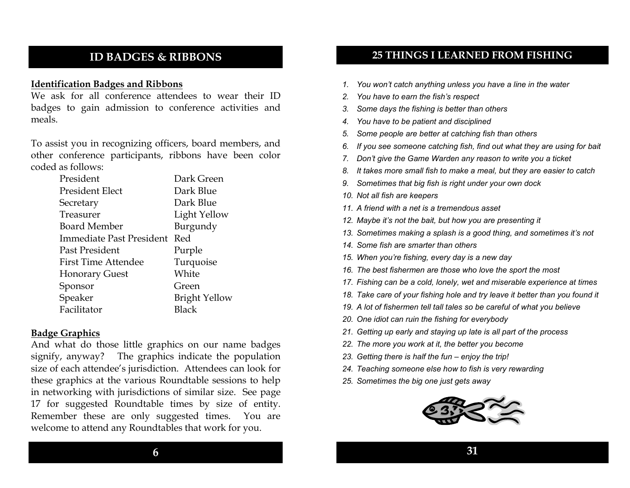### ID BADGES & RIBBONS

#### Identification Badges and Ribbons

 We ask for all conference attendees to wear their ID badges to gain admission to conference activities and meals.

To assist you in recognizing officers, board members, and other conference participants, ribbons have been color coded as follows:

| President                  | Dark Green           |
|----------------------------|----------------------|
| President Elect            | Dark Blue            |
| Secretary                  | Dark Blue            |
| Treasurer                  | Light Yellow         |
| <b>Board Member</b>        | Burgundy             |
| Immediate Past President   | Red                  |
| Past President             | Purple               |
| <b>First Time Attendee</b> | Turquoise            |
| <b>Honorary Guest</b>      | White                |
| Sponsor                    | Green                |
| Speaker                    | <b>Bright Yellow</b> |
| Facilitator                | <b>Black</b>         |

#### Badge Graphics

 And what do those little graphics on our name badges signify, anyway? The graphics indicate the population size of each attendee's jurisdiction. Attendees can look for these graphics at the various Roundtable sessions to help in networking with jurisdictions of similar size. See page 17 for suggested Roundtable times by size of entity. Remember these are only suggested times. You are welcome to attend any Roundtables that work for you.

### 25 THINGS I LEARNED FROM FISHING

- 1. You won't catch anything unless you have a line in the water
- 2. You have to earn the fish's respect
- 3. Some days the fishing is better than others
- 4. You have to be patient and disciplined
- 5. Some people are better at catching fish than others
- 6. If you see someone catching fish, find out what they are using for bait
- 7. Don't give the Game Warden any reason to write you a ticket
- 8. It takes more small fish to make a meal, but they are easier to catch
- 9. Sometimes that big fish is right under your own dock
- 10. Not all fish are keepers
- 11. A friend with a net is a tremendous asset
- 12. Maybe it's not the bait, but how you are presenting it
- 13. Sometimes making a splash is a good thing, and sometimes it's not
- 14. Some fish are smarter than others
- 15. When you're fishing, every day is a new day
- 16. The best fishermen are those who love the sport the most
- 17. Fishing can be a cold, lonely, wet and miserable experience at times
- 18. Take care of your fishing hole and try leave it better than you found it
- 19. A lot of fishermen tell tall tales so be careful of what you believe
- 20. One idiot can ruin the fishing for everybody
- 21. Getting up early and staying up late is all part of the process
- 22. The more you work at it, the better you become
- 23. Getting there is half the fun enjoy the trip!
- 24. Teaching someone else how to fish is very rewarding
- 25. Sometimes the big one just gets away

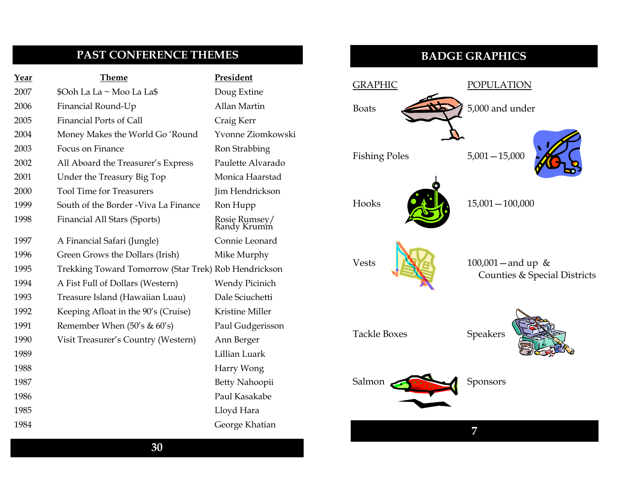### PAST CONFERENCE THEMES

| Year | <b>Theme</b>                                         | President                    |
|------|------------------------------------------------------|------------------------------|
| 2007 | \$Ooh La La ~ Moo La La\$                            | Doug Extine                  |
| 2006 | Financial Round-Up                                   | Allan Martin                 |
| 2005 | <b>Financial Ports of Call</b>                       | Craig Kerr                   |
| 2004 | Money Makes the World Go 'Round                      | Yvonne Ziomkowski            |
| 2003 | Focus on Finance                                     | Ron Strabbing                |
| 2002 | All Aboard the Treasurer's Express                   | Paulette Alvarado            |
| 2001 | Under the Treasury Big Top                           | Monica Haarstad              |
| 2000 | <b>Tool Time for Treasurers</b>                      | Jim Hendrickson              |
| 1999 | South of the Border - Viva La Finance                | Ron Hupp                     |
| 1998 | Financial All Stars (Sports)                         | Rosie Rumsey/<br>Randy Krumm |
| 1997 | A Financial Safari (Jungle)                          | Connie Leonard               |
| 1996 | Green Grows the Dollars (Irish)                      | Mike Murphy                  |
| 1995 | Trekking Toward Tomorrow (Star Trek) Rob Hendrickson |                              |
| 1994 | A Fist Full of Dollars (Western)                     | <b>Wendy Picinich</b>        |
| 1993 | Treasure Island (Hawaiian Luau)                      | Dale Sciuchetti              |
| 1992 | Keeping Afloat in the 90's (Cruise)                  | Kristine Miller              |
| 1991 | Remember When $(50's & 60's)$                        | Paul Gudgerisson             |
| 1990 | Visit Treasurer's Country (Western)                  | Ann Berger                   |
| 1989 |                                                      | Lillian Luark                |
| 1988 |                                                      | Harry Wong                   |
| 1987 |                                                      | Betty Nahoopii               |
| 1986 |                                                      | Paul Kasakabe                |
| 1985 |                                                      | Lloyd Hara                   |
| 1984 |                                                      | George Khatian               |

### BADGE GRAPHICS

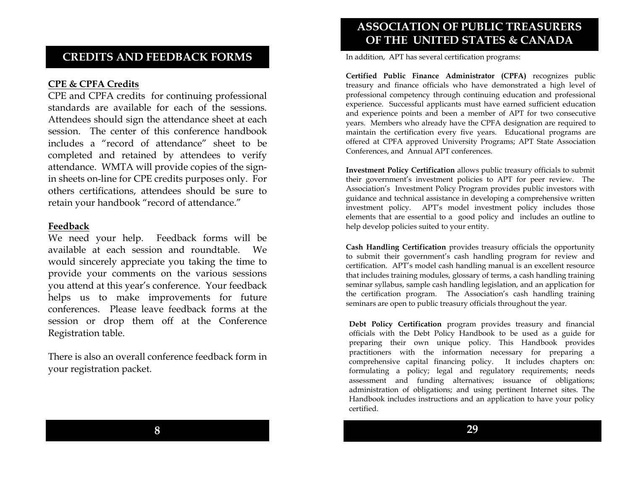### CREDITS AND FEEDBACK FORMS

#### CPE & CPFA Credits

 CPE and CPFA credits for continuing professional standards are available for each of the sessions. Attendees should sign the attendance sheet at each session. The center of this conference handbook includes a "record of attendance" sheet to be completed and retained by attendees to verify attendance. WMTA will provide copies of the signin sheets on-line for CPE credits purposes only. For others certifications, attendees should be sure to retain your handbook "record of attendance."

#### Feedback

 We need your help. Feedback forms will be available at each session and roundtable. We would sincerely appreciate you taking the time to provide your comments on the various sessions you attend at this year's conference. Your feedback helps us to make improvements for future conferences. Please leave feedback forms at the session or drop them off at the Conference Registration table.

There is also an overall conference feedback form in your registration packet.

### ASSOCIATION OF PUBLIC TREASURERS OF THE UNITED STATES & CANADA

In addition, APT has several certification programs:

Certified Public Finance Administrator (CPFA) recognizes public treasury and finance officials who have demonstrated a high level of professional competency through continuing education and professional experience. Successful applicants must have earned sufficient education and experience points and been a member of APT for two consecutive years. Members who already have the CPFA designation are required to maintain the certification every five years. Educational programs are offered at CPFA approved University Programs; APT State Association Conferences, and Annual APT conferences.

Investment Policy Certification allows public treasury officials to submit their government's investment policies to APT for peer review. The Association's Investment Policy Program provides public investors with guidance and technical assistance in developing a comprehensive written investment policy. APT's model investment policy includes those elements that are essential to a good policy and includes an outline to help develop policies suited to your entity.

Cash Handling Certification provides treasury officials the opportunity to submit their government's cash handling program for review and certification. APT's model cash handling manual is an excellent resource that includes training modules, glossary of terms, a cash handling training seminar syllabus, sample cash handling legislation, and an application for the certification program. The Association's cash handling training seminars are open to public treasury officials throughout the year.

Debt Policy Certification program provides treasury and financial officials with the Debt Policy Handbook to be used as a guide for preparing their own unique policy. This Handbook provides practitioners with the information necessary for preparing a comprehensive capital financing policy. It includes chapters on: formulating a policy; legal and regulatory requirements; needs assessment and funding alternatives; issuance of obligations; administration of obligations; and using pertinent Internet sites. The Handbook includes instructions and an application to have your policy certified.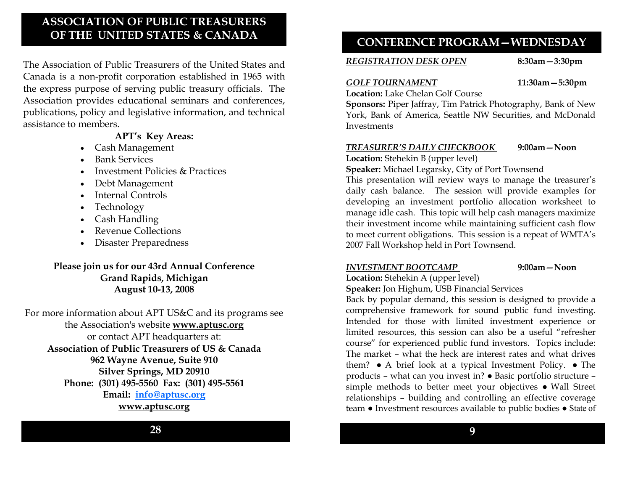### ASSOCIATION OF PUBLIC TREASURERS OF THE UNITED STATES & CANADA

The Association of Public Treasurers of the United States and Canada is a non-profit corporation established in 1965 with the express purpose of serving public treasury officials. The Association provides educational seminars and conferences, publications, policy and legislative information, and technical assistance to members.

#### APT's Key Areas:

- Cash Management
- Bank Services
- Investment Policies & Practices
- Debt Management
- Internal Controls
- Technology
- Cash Handling
- Revenue Collections
- Disaster Preparedness

#### Please join us for our 43rd Annual Conference Grand Rapids, Michigan August 10-13, 2008

For more information about APT US&C and its programs see the Association's website www.aptusc.org or contact APT headquarters at: Association of Public Treasurers of US & Canada 962 Wayne Avenue, Suite 910 Silver Springs, MD 20910 Phone: (301) 495-5560 Fax: (301) 495-5561 Email: info@aptusc.orgwww.aptusc.org

### CONFERENCE PROGRAM—WEDNESDAY

#### REGISTRATION DESK OPEN

8:30am—3:30pm

#### GOLF TOURNAMENT 11:30am - 5:30pm

Location: Lake Chelan Golf Course

 Sponsors: Piper Jaffray, Tim Patrick Photography, Bank of New York, Bank of America, Seattle NW Securities, and McDonald **Investments** 

#### TREASURER'S DAILY CHECKBOOK 9:00am—Noon

Location: Stehekin B (upper level)

Speaker: Michael Legarsky, City of Port Townsend

This presentation will review ways to manage the treasurer's daily cash balance. The session will provide examples for developing an investment portfolio allocation worksheet to manage idle cash. This topic will help cash managers maximize their investment income while maintaining sufficient cash flow to meet current obligations. This session is a repeat of WMTA's 2007 Fall Workshop held in Port Townsend.

#### INVESTMENT BOOTCAMP 9:00am—Noon

### Location: Stehekin A (upper level)

### Speaker: Jon Highum, USB Financial Services

 Back by popular demand, this session is designed to provide a comprehensive framework for sound public fund investing. Intended for those with limited investment experience or limited resources, this session can also be a useful "refresher course" for experienced public fund investors. Topics include: The market – what the heck are interest rates and what drives them? ● A brief look at a typical Investment Policy. ● The products – what can you invest in? ● Basic portfolio structure – simple methods to better meet your objectives ● Wall Street relationships – building and controlling an effective coverage team ● Investment resources available to public bodies ● State of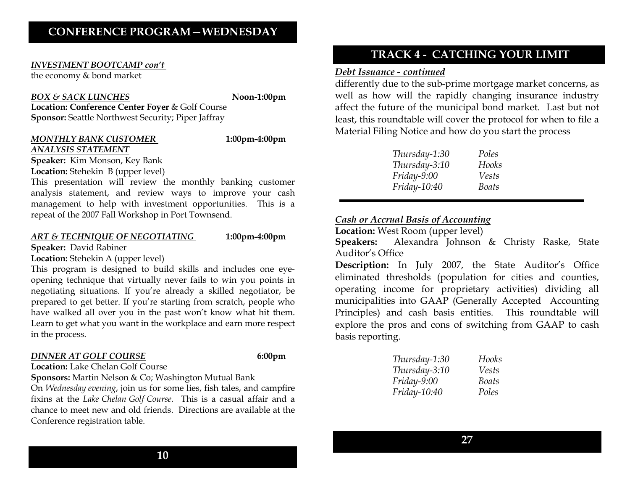#### INVESTMENT BOOTCAMP con't

the economy & bond market

#### BOX & SACK LUNCHES

Noon-1:00pm

Location: Conference Center Foyer & Golf CourseSponsor: Seattle Northwest Security; Piper Jaffray

#### MONTHLY BANK CUSTOMER 1:00pm-4:00pm ANALYSIS STATEMENT

**Speaker:** Kim Monson, Key Bank Location: Stehekin B (upper level)

This presentation will review the monthly banking customer analysis statement, and review ways to improve your cash management to help with investment opportunities. This is a repeat of the 2007 Fall Workshop in Port Townsend.

#### ART & TECHNIQUE OF NEGOTIATING 1:00pm-4:00pm

Speaker: David Rabiner

Location: Stehekin A (upper level)

This program is designed to build skills and includes one eyeopening technique that virtually never fails to win you points in negotiating situations. If you're already a skilled negotiator, be prepared to get better. If you're starting from scratch, people who have walked all over you in the past won't know what hit them. Learn to get what you want in the workplace and earn more respect in the process.

#### DINNER AT GOLF COURSE

6:00pm

#### Location: Lake Chelan Golf Course

Sponsors: Martin Nelson & Co; Washington Mutual Bank

On Wednesday evening, join us for some lies, fish tales, and campfire fixins at the Lake Chelan Golf Course. This is a casual affair and a chance to meet new and old friends. Directions are available at the Conference registration table.

10

### TRACK 4 - CATCHING YOUR LIMIT

#### Debt Issuance - continued

 differently due to the sub-prime mortgage market concerns, as well as how will the rapidly changing insurance industry affect the future of the municipal bond market. Last but not least, this roundtable will cover the protocol for when to file a Material Filing Notice and how do you start the process

| Thursday-1:30       | Poles |
|---------------------|-------|
| Thursday-3:10       | Hooks |
| Friday-9:00         | Vests |
| <i>Friday-10:40</i> | Boats |

### Cash or Accrual Basis of Accounting

Location: West Room (upper level)

Speakers: Alexandra Johnson & Christy Raske, State Auditor's Office

**Description:** In July 2007, the State Auditor's Office eliminated thresholds (population for cities and counties, operating income for proprietary activities) dividing all municipalities into GAAP (Generally Accepted Accounting Principles) and cash basis entities. This roundtable will explore the pros and cons of switching from GAAP to cash basis reporting.

| Thursday-1:30  | Hooks |
|----------------|-------|
| Thursday-3:10  | Vests |
| $Friday-9:00$  | Boats |
| $Friday-10:40$ | Poles |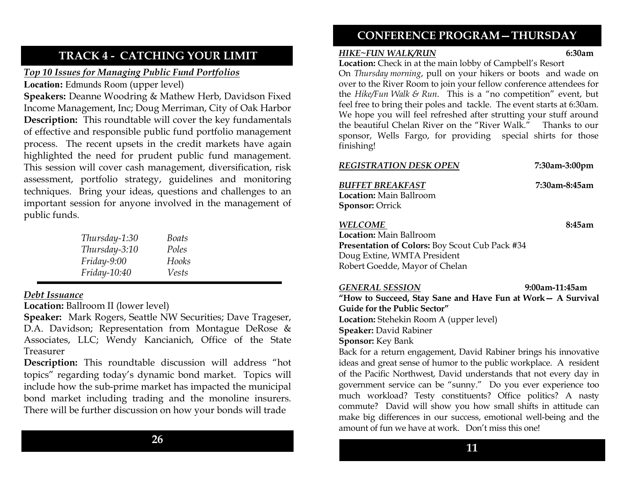### TRACK 4 - CATCHING YOUR LIMIT

### Top 10 Issues for Managing Public Fund Portfolios

Location: Edmunds Room (upper level)

Speakers: Deanne Woodring & Mathew Herb, Davidson Fixed Income Management, Inc; Doug Merriman, City of Oak Harbor Description: This roundtable will cover the key fundamentals of effective and responsible public fund portfolio management process. The recent upsets in the credit markets have again highlighted the need for prudent public fund management. This session will cover cash management, diversification, risk assessment, portfolio strategy, guidelines and monitoring techniques. Bring your ideas, questions and challenges to an important session for anyone involved in the management of public funds.

| Thursday-1:30 | Boats |
|---------------|-------|
| Thursday-3:10 | Poles |
| Friday-9:00   | Hooks |
| Friday-10:40  | Vests |

#### Debt Issuance

Location: Ballroom II (lower level)

Speaker: Mark Rogers, Seattle NW Securities; Dave Trageser, D.A. Davidson; Representation from Montague DeRose & Associates, LLC; Wendy Kancianich, Office of the State Treasurer

Description: This roundtable discussion will address "hot topics" regarding today's dynamic bond market. Topics will include how the sub-prime market has impacted the municipal bond market including trading and the monoline insurers. There will be further discussion on how your bonds will trade

### CONFERENCE PROGRAM—THURSDAY

#### HIKE~FUN WALK/RUN

6:30am Location: Check in at the main lobby of Campbell's Resort

On Thursday morning, pull on your hikers or boots and wade on over to the River Room to join your fellow conference attendees for the Hike/Fun Walk & Run. This is a "no competition" event, but feel free to bring their poles and tackle. The event starts at 6:30am. We hope you will feel refreshed after strutting your stuff around the beautiful Chelan River on the "River Walk." Thanks to our sponsor, Wells Fargo, for providing special shirts for those finishing!

|--|

7:30am-3:00pm

7:30am-8:45am

BUFFET BREAKFASTLocation: Main Ballroom Sponsor: Orrick

WELCOME 8:45am

Location: Main Ballroom Presentation of Colors: Boy Scout Cub Pack #34Doug Extine, WMTA President Robert Goedde, Mayor of Chelan

GENERAL SESSION

 9:00am-11:45am "How to Succeed, Stay Sane and Have Fun at Work— A Survival Guide for the Public Sector" Location: Stehekin Room A (upper level) Speaker: David Rabiner Sponsor: Key Bank

 Back for a return engagement, David Rabiner brings his innovative ideas and great sense of humor to the public workplace. A resident of the Pacific Northwest, David understands that not every day in government service can be "sunny." Do you ever experience too much workload? Testy constituents? Office politics? A nasty commute? David will show you how small shifts in attitude can make big differences in our success, emotional well-being and the amount of fun we have at work. Don't miss this one!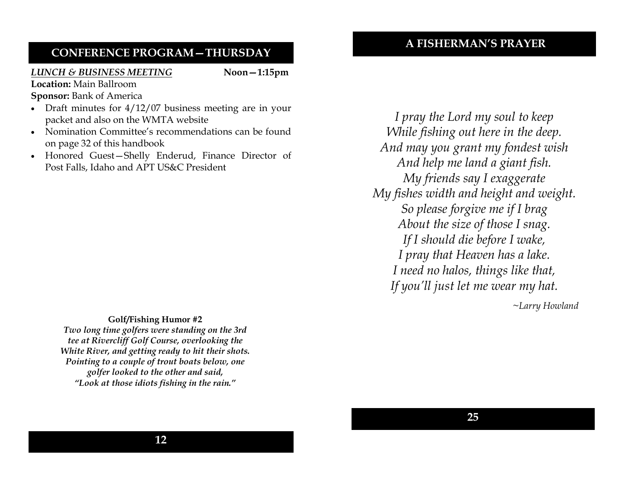### A FISHERMAN'S PRAYER

### CONFERENCE PROGRAM—THURSDAY

#### LUNCH & BUSINESS MEETING

Noon—1:15pm

Location: Main Ballroom

- Sponsor: Bank of America
- Draft minutes for  $4/12/07$  business meeting are in your packet and also on the WMTA website
- Nomination Committee's recommendations can be foundon page 32 of this handbook
- Honored Guest—Shelly Enderud, Finance Director of Post Falls, Idaho and APT US&C President

I pray the Lord my soul to keep While fishing out here in the deep. And may you grant my fondest wish And help me land a giant fish. My friends say I exaggerate My fishes width and height and weight. So please forgive me if I brag About the size of those I snag. If I should die before I wake, I pray that Heaven has a lake. I need no halos, things like that, If you'll just let me wear my hat.

~Larry Howland

Golf/Fishing Humor #2 Two long time golfers were standing on the 3rd tee at Rivercliff Golf Course, overlooking the White River, and getting ready to hit their shots. Pointing to a couple of trout boats below, one golfer looked to the other and said, "Look at those idiots fishing in the rain."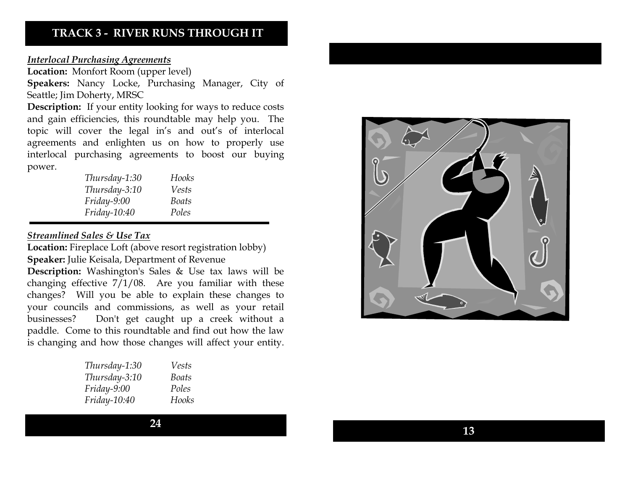### TRACK 3 - RIVER RUNS THROUGH IT

#### Interlocal Purchasing Agreements

Location: Monfort Room (upper level)

Speakers: Nancy Locke, Purchasing Manager, City of Seattle; Jim Doherty, MRSC

Description: If your entity looking for ways to reduce costs and gain efficiencies, this roundtable may help you. The topic will cover the legal in's and out's of interlocal agreements and enlighten us on how to properly use interlocal purchasing agreements to boost our buying power.

| Thursday-1:30       | Hooks |  |
|---------------------|-------|--|
| Thursday-3:10       | Vests |  |
| Friday-9:00         | Boats |  |
| <i>Friday-10:40</i> | Poles |  |

#### Streamlined Sales & Use Tax

**Location:** Fireplace Loft (above resort registration lobby) Speaker: Julie Keisala, Department of Revenue

Description: Washington's Sales & Use tax laws will be changing effective 7/1/08. Are you familiar with these changes? Will you be able to explain these changes to your councils and commissions, as well as your retail businesses? Don't get caught up a creek without a paddle. Come to this roundtable and find out how the law is changing and how those changes will affect your entity.

| Thursday-1:30  | Vests |
|----------------|-------|
| Thursday-3:10  | Boats |
| Friday-9:00    | Poles |
| $Friday-10:40$ | Hooks |

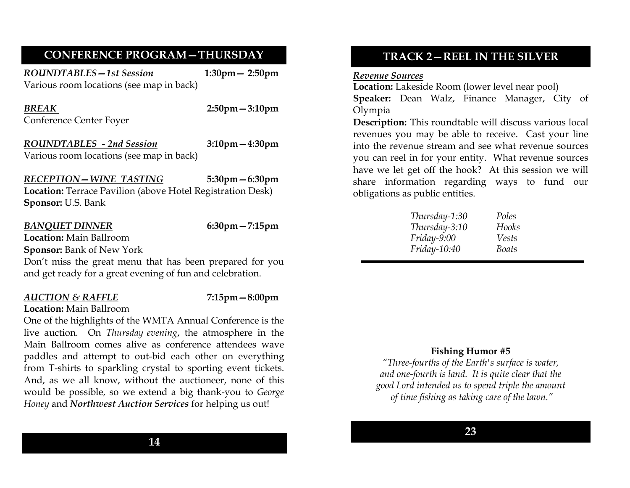### CONFERENCE PROGRAM—THURSDAY

ROUNDTABLES-1st Session 1:30pm - 2:50pm Various room locations (see map in back)

BREAKConference Center Foyer 2:50pm—3:10pm

ROUNDTABLES - 2nd Session 3:10pm—4:30pm Various room locations (see map in back)

### RECEPTION—WINE TASTING

5:30pm—6:30pm

Location: Terrace Pavilion (above Hotel Registration Desk) Sponsor: U.S. Bank

#### BANQUET DINNER

6:30pm—7:15pm

Location: Main Ballroom Sponsor: Bank of New York

Don't miss the great menu that has been prepared for you and get ready for a great evening of fun and celebration.

#### AUCTION & RAFFLE 7:15pm - 8:00pm

Location: Main Ballroom

One of the highlights of the WMTA Annual Conference is the live auction. On Thursday evening, the atmosphere in the Main Ballroom comes alive as conference attendees wave paddles and attempt to out-bid each other on everything from T-shirts to sparkling crystal to sporting event tickets. And, as we all know, without the auctioneer, none of this would be possible, so we extend a big thank-you to George Honey and Northwest Auction Services for helping us out!

#### Revenue Sources

 Location: Lakeside Room (lower level near pool) Speaker: Dean Walz, Finance Manager, City of Olympia

**Description:** This roundtable will discuss various local revenues you may be able to receive. Cast your line into the revenue stream and see what revenue sources you can reel in for your entity. What revenue sources have we let get off the hook? At this session we will share information regarding ways to fund our obligations as public entities.

| Thursday-1:30 | Poles |
|---------------|-------|
| Thursday-3:10 | Hooks |
| $Friday-9:00$ | Vests |
| Friday-10:40  | Boats |
|               |       |

#### Fishing Humor #5

"Three-fourths of the Earth's surface is water, and one-fourth is land. It is quite clear that the good Lord intended us to spend triple the amount of time fishing as taking care of the lawn."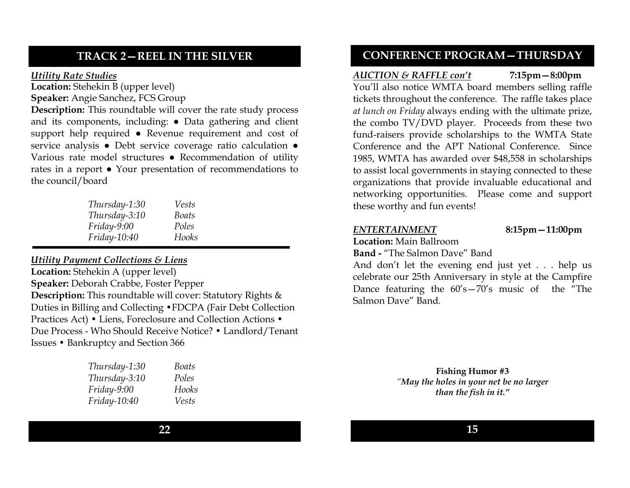### TRACK 2—REEL IN THE SILVER

#### Utility Rate Studies

 Location: Stehekin B (upper level) Speaker: Angie Sanchez, FCS Group

Description: This roundtable will cover the rate study process and its components, including: ● Data gathering and client support help required ● Revenue requirement and cost of service analysis ● Debt service coverage ratio calculation ● Various rate model structures ● Recommendation of utility rates in a report ● Your presentation of recommendations to the council/board

| Thursday-1:30  | Vests |
|----------------|-------|
| Thursday-3:10  | Boats |
| $Friday-9:00$  | Poles |
| $Friday-10:40$ | Hooks |

#### Utility Payment Collections & Liens

Location: Stehekin A (upper level)Speaker: Deborah Crabbe, Foster Pepper Description: This roundtable will cover: Statutory Rights & Duties in Billing and Collecting •FDCPA (Fair Debt Collection Practices Act) • Liens, Foreclosure and Collection Actions • Due Process - Who Should Receive Notice? • Landlord/Tenant Issues • Bankruptcy and Section 366

| Thursday-1:30 | <b>Boats</b> |
|---------------|--------------|
| Thursday-3:10 | Poles        |
| $Friday-9:00$ | Hooks        |
| Friday-10:40  | Vests        |

### CONFERENCE PROGRAM—THURSDAY

#### AUCTION & RAFFLE con't  $7:15 \text{pm} - 8:00 \text{pm}$

You'll also notice WMTA board members selling raffle tickets throughout the conference. The raffle takes place at lunch on Friday always ending with the ultimate prize, the combo TV/DVD player. Proceeds from these two fund-raisers provide scholarships to the WMTA State Conference and the APT National Conference. Since 1985, WMTA has awarded over \$48,558 in scholarships to assist local governments in staying connected to these organizations that provide invaluable educational and networking opportunities. Please come and support these worthy and fun events!

#### ENTERTAINMENT 8:15pm—11:00pm

Location: Main Ballroom

Band - "The Salmon Dave" Band

And don't let the evening end just yet . . . help us celebrate our 25th Anniversary in style at the Campfire Dance featuring the 60's—70's music of the "The Salmon Dave" Band.

> Fishing Humor #3 "May the holes in your net be no larger than the fish in it."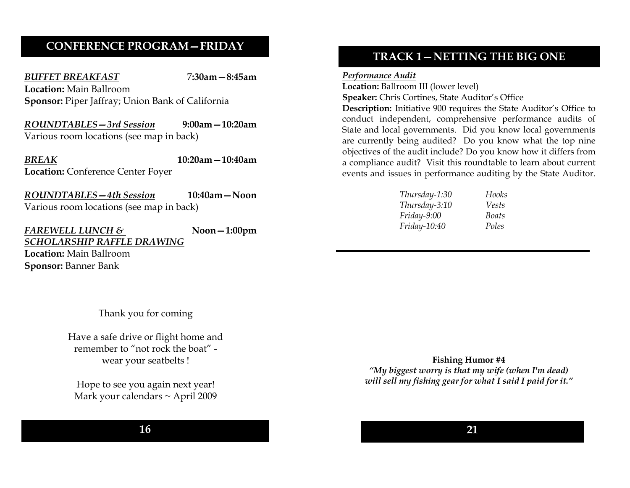### CONFERENCE PROGRAM—FRIDAY

BUFFET BREAKFAST 7:30am - 8:45am Location: Main Ballroom Sponsor: Piper Jaffray; Union Bank of California

ROUNDTABLES—3rd Session 9:00am—10:20am Various room locations (see map in back)

BREAK 10:20am—10:40amLocation: Conference Center Foyer

ROUNDTABLES - 4th Session 10:40am - Noon Various room locations (see map in back)

FAREWELL LUNCH  $\&$  Noon-1:00pm SCHOLARSHIP RAFFLE DRAWINGLocation: Main Ballroom Sponsor: Banner Bank

Thank you for coming

Have a safe drive or flight home and remember to "not rock the boat" wear your seatbelts !

Hope to see you again next year! Mark your calendars ~ April 2009

16

### TRACK 1—NETTING THE BIG ONE

Performance Audit

Location: Ballroom III (lower level) Speaker: Chris Cortines, State Auditor's Office

Description: Initiative 900 requires the State Auditor's Office to conduct independent, comprehensive performance audits of State and local governments. Did you know local governments are currently being audited? Do you know what the top nine objectives of the audit include? Do you know how it differs from a compliance audit? Visit this roundtable to learn about current events and issues in performance auditing by the State Auditor.

| Thursday-1:30 | Hooks |
|---------------|-------|
| Thursday-3:10 | Vests |
| Friday-9:00   | Boats |
| Friday-10:40  | Poles |

Fishing Humor #4 "My biggest worry is that my wife (when I'm dead) will sell my fishing gear for what I said I paid for it."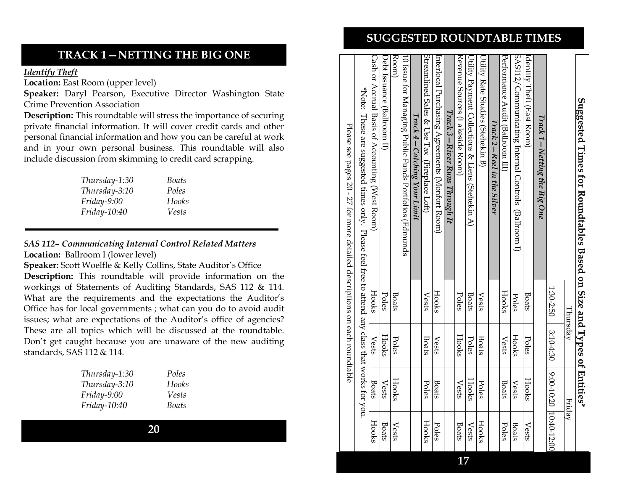#### $\rm Ca$ sh or Accrual Basis of Accounting accrual Basis of Accounting (West Room)  $\rm He$  Hooks Hooks Hooks Hooks Hooks Hooks Hooks Hooks Hooks Hooks Hooks Hooks Hooks Hooks Hooks Hooks Hooks Hooks Hooks Hooks Hooks Hooks Hook  $\rm{De}$   $\rm{Ne}$   $\rm{S}$   $\rm{Ne}$   $\rm{S}$   $\rm{Ne}$   $\rm{Ne}$   $\rm{Ne}$   $\rm{Ne}$   $\rm{Ne}$   $\rm{Ne}$   $\rm{Ne}$   $\rm{Ne}$   $\rm{Ne}$   $\rm{Ne}$   $\rm{Ne}$   $\rm{Ne}$   $\rm{Ne}$   $\rm{Ne}$   $\rm{Ne}$   $\rm{Ne}$   $\rm{Ne}$   $\rm{Ne}$   $\rm{Ne}$   $\rm{Ne}$   $\rm{Ne}$   $\rm{Ne}$   $\rm{Ne$ Room) Room) Boats Poles Poles Boats Boats Books Resets Boats Boats Resets Resets Resets Resets Resets Resets Resets R 10 Issue for Managing Public Funds Portfolios (Edmunds 10 Issue for Managing Public Funds Portfolios (Edmunds Streamlined Sales & Use Tax (Fireplace Loft)  $V$ ests  $\parallel$  Boats  $\parallel$  Poles  $\parallel$  Hooks Streamlined Sales & Use Tax (Fireplace Loft) Interlocal Purchasing Agreements (Monfort Room)  $\qquad$  Hooks  $\qquad$  Vests Boats Poles Revenue Sources (Lakeside Room)  $Poles$   $Hooks$  Vests  $V$  Boats Utility Payment Collections & Liens (Stehekin A) Boats Poles Hooks Vests Utility Rate Studies (Stehekin B) Vests Boats Poles Hooks Performance Audit (Ballroom III) Hooks Vests Boats Poles SAS112/Communicating Internal Controls (Ballroom I) SAS112/Communicating Internal Controls (Ballroom I) Identity Theft (East Room)  $\begin{array}{|l|} \text{Bots} & \text{Foles} \end{array}$  Hooks  $\begin{array}{|l|} \text{Foles} & \text{Hools} \end{array}$ Cash or Accrual Basis of Accounting (West Room) Debt Issuance (Ballroom II) Revenue Sources (Lakeside Room) Utility Payment Collections & Liens (Stehekin A) Utility Rate Studies (Stehekin B) Performance Audit (Ballroom III) nterlocal Purchasing Agreements (Monfort Room) dentity Theft (East Room) \*Note: These are suggested times only. Please feel free to attend any class that works for you. \*Note: Suggested Times for Roundtables Based on Size and Types of Suggested Times for Roundtables Based on Size and Types of Entities $^{*}$ Track 3 - River Runs Through It Track 3—River Runs Through It These are suggested times only. Please feel free to attend any class that works for you.  $TraceA-Catching Your Limit$ Track 4—Catching Your Limit Track 1—Netting the Big One Track 1 Track 2-Reel in the Silver Track 2—Reel in the Silver  $-Netting$  the Big One 1:30-2:50 1:30-2:50 3:10-4:30 9:00-10:20 10:40-12:00 Hooks Hooks Hooks Poles Boats Vests **Boats** Vests Poles Poles Boats Poles Hooks Vests Boats Thursday Thursday | Friday 3:104:30 Hooks Hooks Hooks Vests Poles **Boats** Vests Poles **Boats** Poles Vests Entities\* 9:00-10:20 10:40-12:00 Hooks Hooks **Boats**  $\ensuremath{\mathrm{Vets}}$ Poles **Boats** Vests Poles **Boats** Vests Hooks Friday Hooks Hooks Hooks Poles **Boats** Vests **Boats** Vests Poles **Boats** Vests 17

Please see pages 20 - 27 for more detailed descriptions on each roundtable Please see pages 20 - 27 for more detailed descriptions on each roundtable

### Thursday-1:30 Poles<br>Thursday-3:10 Hooks  $Thursday-3:10$ Friday-9:00 Vests Friday-10:40 Boats

20

SUGGESTED ROUNDTABLE TIMES

## Identify Theft

Location: East Room (upper level)

Speaker: Daryl Pearson, Executive Director Washington State Crime Prevention Association

TRACK 1—NETTING THE BIG ONE

Description: This roundtable will stress the importance of securing private financial information. It will cover credit cards and other personal financial information and how you can be careful at work and in your own personal business. This roundtable will also include discussion from skimming to credit card scrapping.

| Thursday-1:30 | Boats |
|---------------|-------|
| Thursday-3:10 | Poles |
| Friday-9:00   | Hooks |
| Friday-10:40  | Vests |

#### SAS 112– Communicating Internal Control Related Matters

Location: Ballroom I (lower level)

Speaker: Scott Woelfle & Kelly Collins, State Auditor's Office Description: This roundtable will provide information on the workings of Statements of Auditing Standards, SAS 112 & 114. What are the requirements and the expectations the Auditor's Office has for local governments ; what can you do to avoid audit issues; what are expectations of the Auditor's office of agencies? These are all topics which will be discussed at the roundtable. Don't get caught because you are unaware of the new auditing standards, SAS 112 & 114.